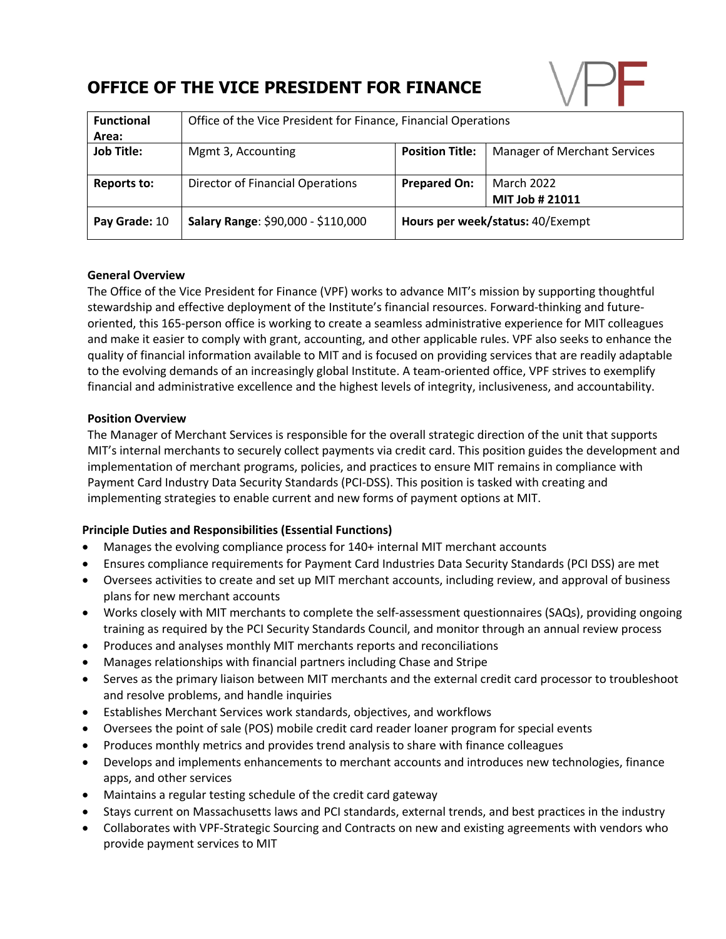# **OFFICE OF THE VICE PRESIDENT FOR FINANCE**



| <b>Functional</b> | Office of the Vice President for Finance, Financial Operations |                                  |                                     |
|-------------------|----------------------------------------------------------------|----------------------------------|-------------------------------------|
| Area:             |                                                                |                                  |                                     |
| <b>Job Title:</b> | Mgmt 3, Accounting                                             | <b>Position Title:</b>           | <b>Manager of Merchant Services</b> |
|                   |                                                                |                                  |                                     |
| Reports to:       | Director of Financial Operations                               | <b>Prepared On:</b>              | <b>March 2022</b>                   |
|                   |                                                                |                                  | MIT Job # 21011                     |
| Pay Grade: 10     | Salary Range: \$90,000 - \$110,000                             | Hours per week/status: 40/Exempt |                                     |

## **General Overview**

The Office of the Vice President for Finance (VPF) works to advance MIT's mission by supporting thoughtful stewardship and effective deployment of the Institute's financial resources. Forward-thinking and futureoriented, this 165-person office is working to create a seamless administrative experience for MIT colleagues and make it easier to comply with grant, accounting, and other applicable rules. VPF also seeks to enhance the quality of financial information available to MIT and is focused on providing services that are readily adaptable to the evolving demands of an increasingly global Institute. A team-oriented office, VPF strives to exemplify financial and administrative excellence and the highest levels of integrity, inclusiveness, and accountability.

#### **Position Overview**

The Manager of Merchant Services is responsible for the overall strategic direction of the unit that supports MIT's internal merchants to securely collect payments via credit card. This position guides the development and implementation of merchant programs, policies, and practices to ensure MIT remains in compliance with Payment Card Industry Data Security Standards (PCI-DSS). This position is tasked with creating and implementing strategies to enable current and new forms of payment options at MIT.

### **Principle Duties and Responsibilities (Essential Functions)**

- Manages the evolving compliance process for 140+ internal MIT merchant accounts
- Ensures compliance requirements for Payment Card Industries Data Security Standards (PCI DSS) are met
- Oversees activities to create and set up MIT merchant accounts, including review, and approval of business plans for new merchant accounts
- Works closely with MIT merchants to complete the self-assessment questionnaires (SAQs), providing ongoing training as required by the PCI Security Standards Council, and monitor through an annual review process
- Produces and analyses monthly MIT merchants reports and reconciliations
- Manages relationships with financial partners including Chase and Stripe
- Serves as the primary liaison between MIT merchants and the external credit card processor to troubleshoot and resolve problems, and handle inquiries
- Establishes Merchant Services work standards, objectives, and workflows
- Oversees the point of sale (POS) mobile credit card reader loaner program for special events
- Produces monthly metrics and provides trend analysis to share with finance colleagues
- Develops and implements enhancements to merchant accounts and introduces new technologies, finance apps, and other services
- Maintains a regular testing schedule of the credit card gateway
- Stays current on Massachusetts laws and PCI standards, external trends, and best practices in the industry
- Collaborates with VPF-Strategic Sourcing and Contracts on new and existing agreements with vendors who provide payment services to MIT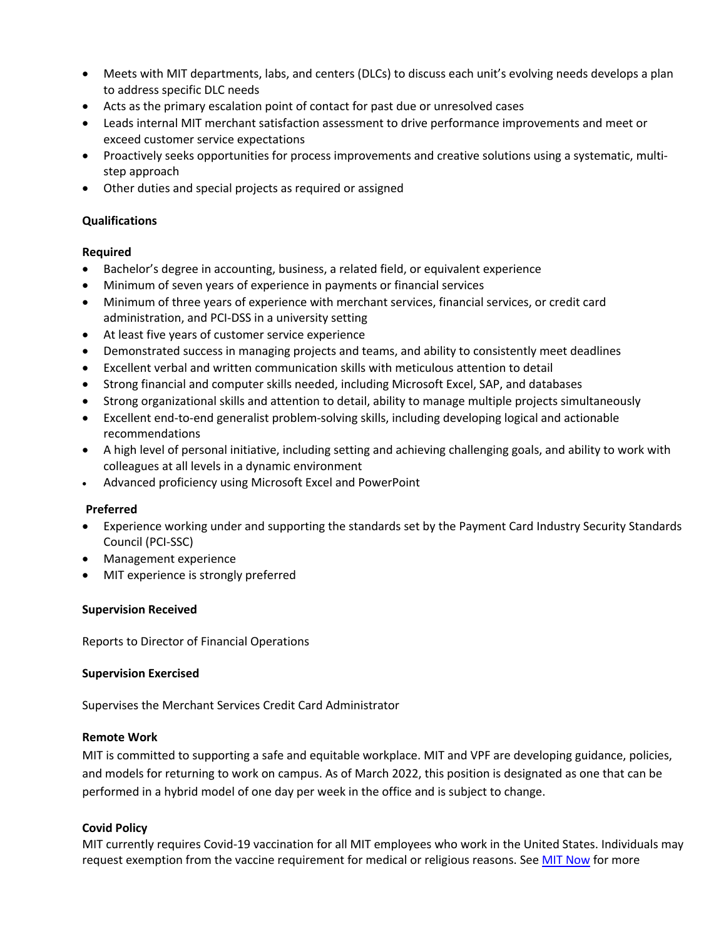- Meets with MIT departments, labs, and centers (DLCs) to discuss each unit's evolving needs develops a plan to address specific DLC needs
- Acts as the primary escalation point of contact for past due or unresolved cases
- Leads internal MIT merchant satisfaction assessment to drive performance improvements and meet or exceed customer service expectations
- Proactively seeks opportunities for process improvements and creative solutions using a systematic, multistep approach
- Other duties and special projects as required or assigned

## **Qualifications**

#### **Required**

- Bachelor's degree in accounting, business, a related field, or equivalent experience
- Minimum of seven years of experience in payments or financial services
- Minimum of three years of experience with merchant services, financial services, or credit card administration, and PCI-DSS in a university setting
- At least five years of customer service experience
- Demonstrated success in managing projects and teams, and ability to consistently meet deadlines
- Excellent verbal and written communication skills with meticulous attention to detail
- Strong financial and computer skills needed, including Microsoft Excel, SAP, and databases
- Strong organizational skills and attention to detail, ability to manage multiple projects simultaneously
- Excellent end-to-end generalist problem-solving skills, including developing logical and actionable recommendations
- A high level of personal initiative, including setting and achieving challenging goals, and ability to work with colleagues at all levels in a dynamic environment
- Advanced proficiency using Microsoft Excel and PowerPoint

#### **Preferred**

- Experience working under and supporting the standards set by the Payment Card Industry Security Standards Council (PCI-SSC)
- Management experience
- MIT experience is strongly preferred

#### **Supervision Received**

Reports to Director of Financial Operations

#### **Supervision Exercised**

Supervises the Merchant Services Credit Card Administrator

#### **Remote Work**

MIT is committed to supporting a safe and equitable workplace. MIT and VPF are developing guidance, policies, and models for returning to work on campus. As of March 2022, this position is designated as one that can be performed in a hybrid model of one day per week in the office and is subject to change.

#### **Covid Policy**

MIT currently requires Covid-19 vaccination for all MIT employees who work in the United States. Individuals may request exemption from the vaccine requirement for medical or religious reasons. See MIT Now for more